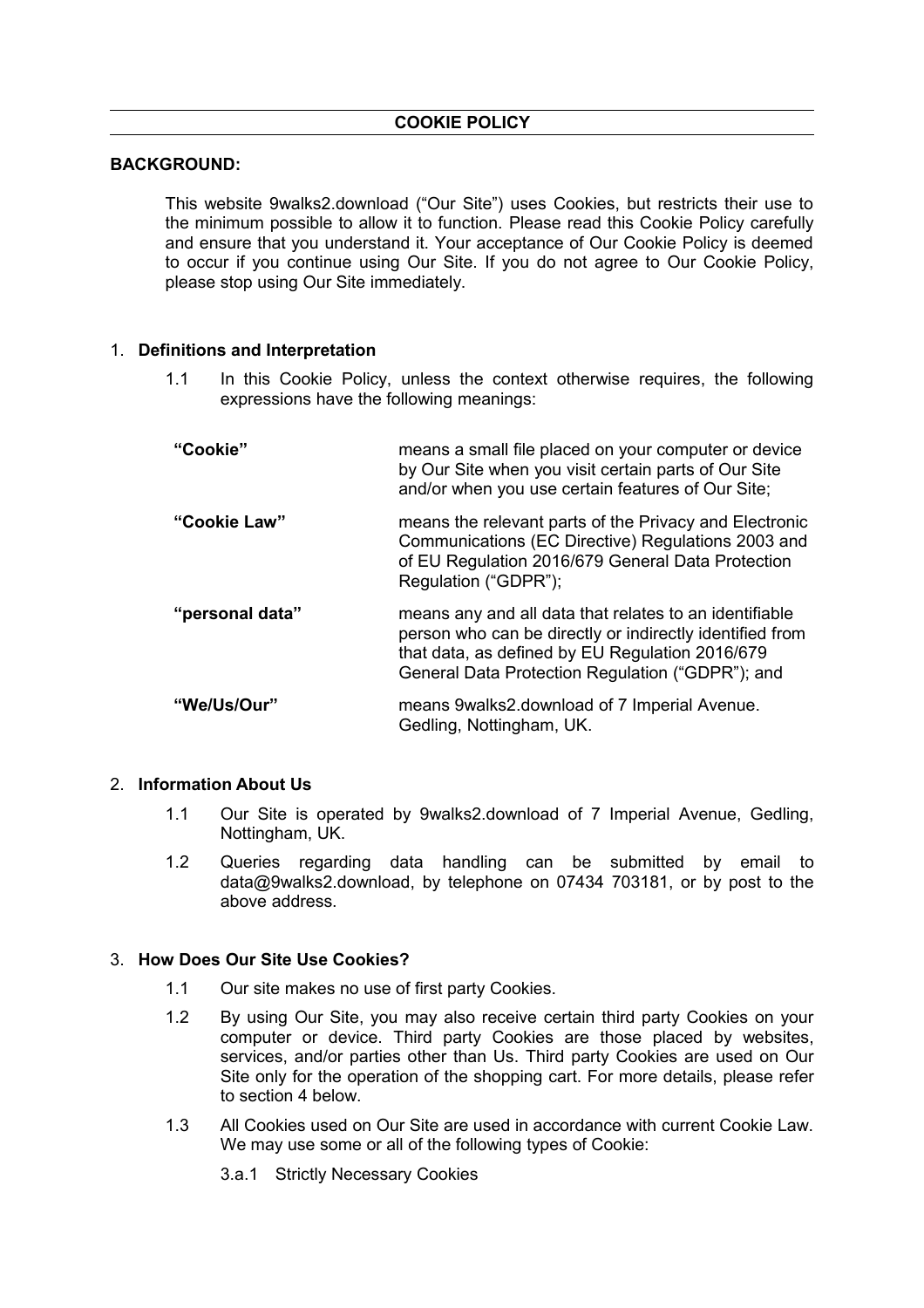# **BACKGROUND:**

This website 9walks2.download ("Our Site") uses Cookies, but restricts their use to the minimum possible to allow it to function. Please read this Cookie Policy carefully and ensure that you understand it. Your acceptance of Our Cookie Policy is deemed to occur if you continue using Our Site. If you do not agree to Our Cookie Policy, please stop using Our Site immediately.

### 1. **Definitions and Interpretation**

1.1 In this Cookie Policy, unless the context otherwise requires, the following expressions have the following meanings:

| "Cookie"        | means a small file placed on your computer or device<br>by Our Site when you visit certain parts of Our Site<br>and/or when you use certain features of Our Site;                                                         |  |
|-----------------|---------------------------------------------------------------------------------------------------------------------------------------------------------------------------------------------------------------------------|--|
| "Cookie Law"    | means the relevant parts of the Privacy and Electronic<br>Communications (EC Directive) Regulations 2003 and<br>of EU Regulation 2016/679 General Data Protection<br>Regulation ("GDPR");                                 |  |
| "personal data" | means any and all data that relates to an identifiable<br>person who can be directly or indirectly identified from<br>that data, as defined by EU Regulation 2016/679<br>General Data Protection Regulation ("GDPR"); and |  |
| "We/Us/Our"     | means 9 walks 2. download of 7 Imperial Avenue.<br>Gedling, Nottingham, UK.                                                                                                                                               |  |

## 2. **Information About Us**

- 1.1 Our Site is operated by 9walks2.download of 7 Imperial Avenue, Gedling, Nottingham, UK.
- 1.2 Queries regarding data handling can be submitted by email to data@9walks2.download, by telephone on 07434 703181, or by post to the above address.

## 3. **How Does Our Site Use Cookies?**

- 1.1 Our site makes no use of first party Cookies.
- 1.2 By using Our Site, you may also receive certain third party Cookies on your computer or device. Third party Cookies are those placed by websites, services, and/or parties other than Us. Third party Cookies are used on Our Site only for the operation of the shopping cart. For more details, please refer to section 4 below.
- 1.3 All Cookies used on Our Site are used in accordance with current Cookie Law. We may use some or all of the following types of Cookie:
	- 3.a.1 Strictly Necessary Cookies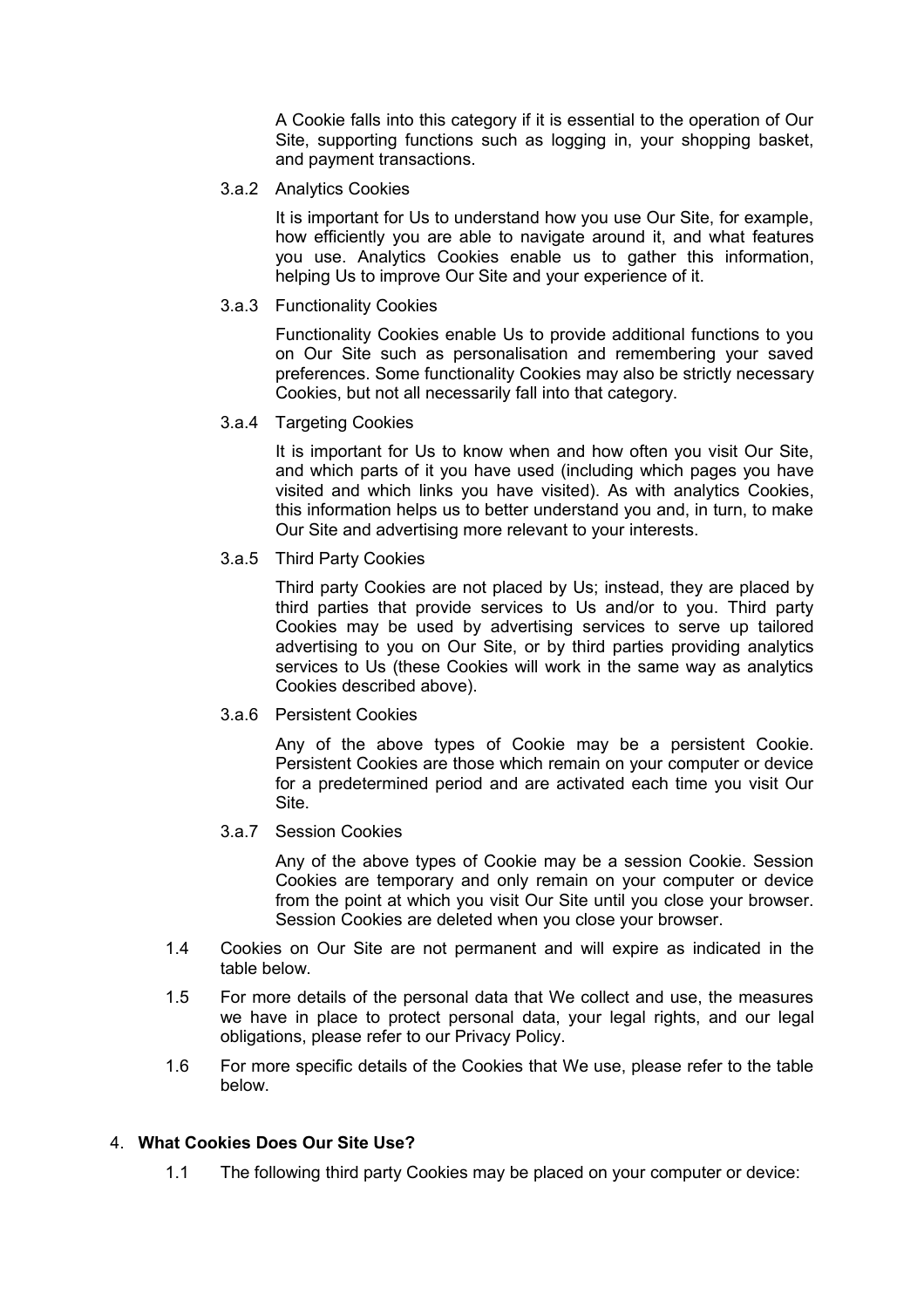A Cookie falls into this category if it is essential to the operation of Our Site, supporting functions such as logging in, your shopping basket, and payment transactions.

#### 3.a.2 Analytics Cookies

It is important for Us to understand how you use Our Site, for example, how efficiently you are able to navigate around it, and what features you use. Analytics Cookies enable us to gather this information, helping Us to improve Our Site and your experience of it.

### 3.a.3 Functionality Cookies

Functionality Cookies enable Us to provide additional functions to you on Our Site such as personalisation and remembering your saved preferences. Some functionality Cookies may also be strictly necessary Cookies, but not all necessarily fall into that category.

### 3.a.4 Targeting Cookies

It is important for Us to know when and how often you visit Our Site, and which parts of it you have used (including which pages you have visited and which links you have visited). As with analytics Cookies, this information helps us to better understand you and, in turn, to make Our Site and advertising more relevant to your interests.

### 3.a.5 Third Party Cookies

Third party Cookies are not placed by Us; instead, they are placed by third parties that provide services to Us and/or to you. Third party Cookies may be used by advertising services to serve up tailored advertising to you on Our Site, or by third parties providing analytics services to Us (these Cookies will work in the same way as analytics Cookies described above).

#### 3.a.6 Persistent Cookies

Any of the above types of Cookie may be a persistent Cookie. Persistent Cookies are those which remain on your computer or device for a predetermined period and are activated each time you visit Our Site.

#### 3.a.7 Session Cookies

Any of the above types of Cookie may be a session Cookie. Session Cookies are temporary and only remain on your computer or device from the point at which you visit Our Site until you close your browser. Session Cookies are deleted when you close your browser.

- 1.4 Cookies on Our Site are not permanent and will expire as indicated in the table below.
- 1.5 For more details of the personal data that We collect and use, the measures we have in place to protect personal data, your legal rights, and our legal obligations, please refer to our Privacy Policy.
- 1.6 For more specific details of the Cookies that We use, please refer to the table below.

## 4. **What Cookies Does Our Site Use?**

1.1 The following third party Cookies may be placed on your computer or device: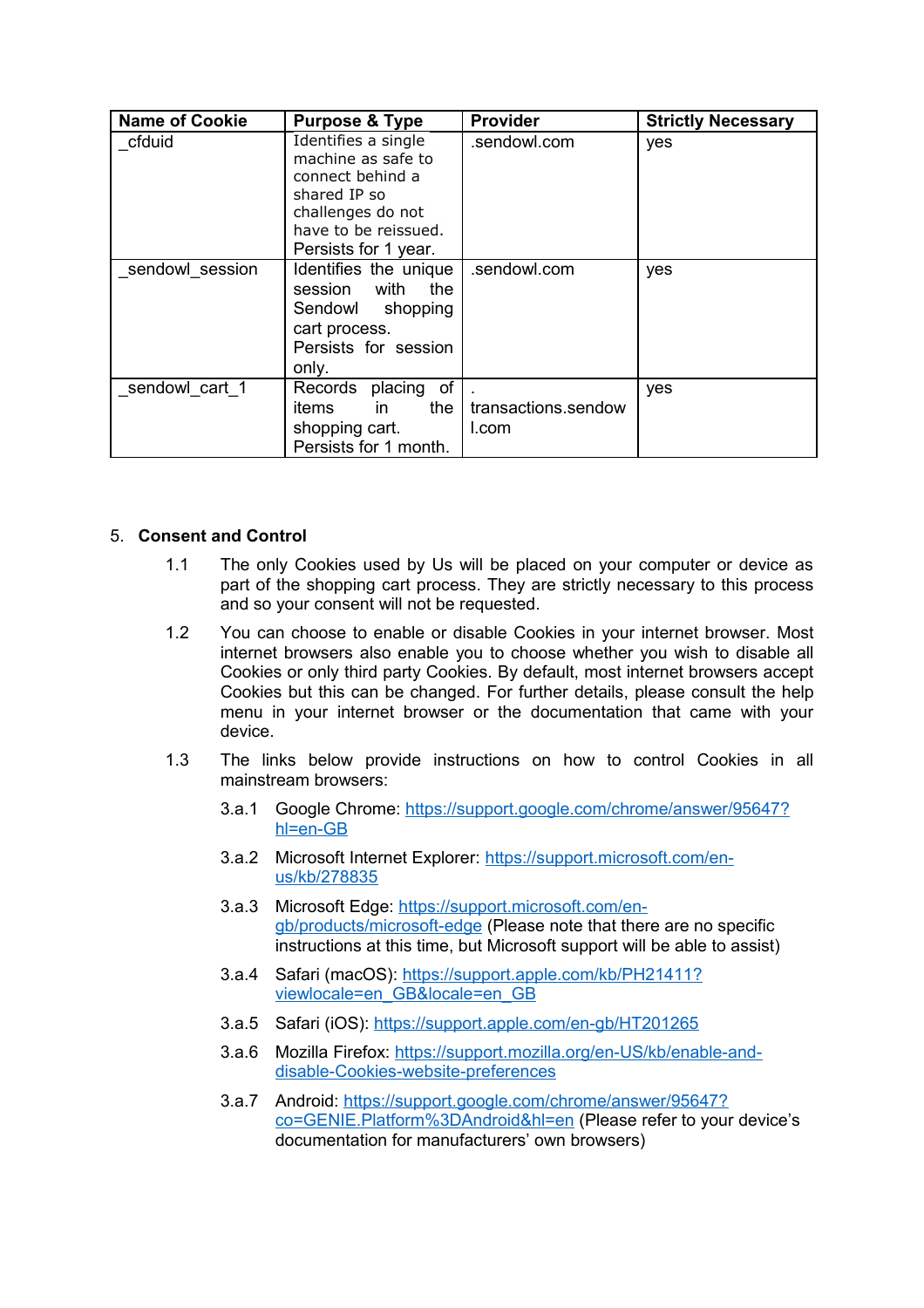| <b>Name of Cookie</b> | <b>Purpose &amp; Type</b>                                                                                                                          | <b>Provider</b>              | <b>Strictly Necessary</b> |
|-----------------------|----------------------------------------------------------------------------------------------------------------------------------------------------|------------------------------|---------------------------|
| cfduid                | Identifies a single<br>machine as safe to<br>connect behind a<br>shared IP so<br>challenges do not<br>have to be reissued.<br>Persists for 1 year. | .sendowl.com                 | yes                       |
| sendowl session       | Identifies the unique<br>with<br>the<br>session<br>Sendowl shopping<br>cart process.<br>Persists for session<br>only.                              | .sendowl.com                 | yes                       |
| sendowl_cart_1        | placing of<br>Records<br>the<br>in in<br>items<br>shopping cart.<br>Persists for 1 month.                                                          | transactions.sendow<br>l.com | yes                       |

## 5. **Consent and Control**

- 1.1 The only Cookies used by Us will be placed on your computer or device as part of the shopping cart process. They are strictly necessary to this process and so your consent will not be requested.
- 1.2 You can choose to enable or disable Cookies in your internet browser. Most internet browsers also enable you to choose whether you wish to disable all Cookies or only third party Cookies. By default, most internet browsers accept Cookies but this can be changed. For further details, please consult the help menu in your internet browser or the documentation that came with your device.
- 1.3 The links below provide instructions on how to control Cookies in all mainstream browsers:
	- 3.a.1 Google Chrome: [https://support.google.com/chrome/answer/95647?](https://support.google.com/chrome/answer/95647?hl=en-GB) [hl=en-GB](https://support.google.com/chrome/answer/95647?hl=en-GB)
	- 3.a.2 Microsoft Internet Explorer: [https://support.microsoft.com/en](https://support.microsoft.com/en-us/kb/278835)[us/kb/278835](https://support.microsoft.com/en-us/kb/278835)
	- 3.a.3 Microsoft Edge: [https://support.microsoft.com/en](https://support.microsoft.com/en-gb/products/microsoft-edge)[gb/products/microsoft-edge](https://support.microsoft.com/en-gb/products/microsoft-edge) (Please note that there are no specific instructions at this time, but Microsoft support will be able to assist)
	- 3.a.4 Safari (macOS): [https://support.apple.com/kb/PH21411?](https://support.apple.com/kb/PH21411?viewlocale=en_GB&locale=en_GB) [viewlocale=en\\_GB&locale=en\\_GB](https://support.apple.com/kb/PH21411?viewlocale=en_GB&locale=en_GB)
	- 3.a.5 Safari (iOS):<https://support.apple.com/en-gb/HT201265>
	- 3.a.6 Mozilla Firefox: [https://support.mozilla.org/en-US/kb/enable-and](https://support.mozilla.org/en-US/kb/enable-and-disable-cookies-website-preferences)[disable-Cookies-website-preferences](https://support.mozilla.org/en-US/kb/enable-and-disable-cookies-website-preferences)
	- 3.a.7 Android: [https://support.google.com/chrome/answer/95647?](https://support.google.com/chrome/answer/95647?co=GENIE.Platform%3DAndroid&hl=en) [co=GENIE.Platform%3DAndroid&hl=en](https://support.google.com/chrome/answer/95647?co=GENIE.Platform%3DAndroid&hl=en) (Please refer to your device's documentation for manufacturers' own browsers)